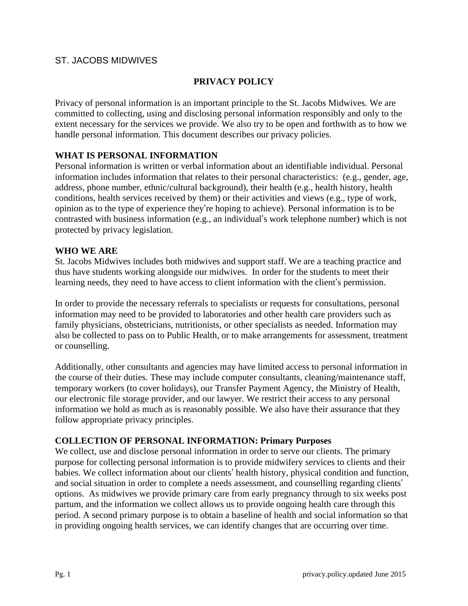## ST. JACOBS MIDWIVES

## **PRIVACY POLICY**

Privacy of personal information is an important principle to the St. Jacobs Midwives. We are committed to collecting, using and disclosing personal information responsibly and only to the extent necessary for the services we provide. We also try to be open and forthwith as to how we handle personal information. This document describes our privacy policies.

### **WHAT IS PERSONAL INFORMATION**

Personal information is written or verbal information about an identifiable individual. Personal information includes information that relates to their personal characteristics: (e.g., gender, age, address, phone number, ethnic/cultural background), their health (e.g., health history, health conditions, health services received by them) or their activities and views (e.g., type of work, opinion as to the type of experience they're hoping to achieve). Personal information is to be contrasted with business information (e.g., an individual's work telephone number) which is not protected by privacy legislation.

#### **WHO WE ARE**

St. Jacobs Midwives includes both midwives and support staff. We are a teaching practice and thus have students working alongside our midwives. In order for the students to meet their learning needs, they need to have access to client information with the client's permission.

In order to provide the necessary referrals to specialists or requests for consultations, personal information may need to be provided to laboratories and other health care providers such as family physicians, obstetricians, nutritionists, or other specialists as needed. Information may also be collected to pass on to Public Health, or to make arrangements for assessment, treatment or counselling.

Additionally, other consultants and agencies may have limited access to personal information in the course of their duties. These may include computer consultants, cleaning/maintenance staff, temporary workers (to cover holidays), our Transfer Payment Agency, the Ministry of Health, our electronic file storage provider, and our lawyer. We restrict their access to any personal information we hold as much as is reasonably possible. We also have their assurance that they follow appropriate privacy principles.

#### **COLLECTION OF PERSONAL INFORMATION: Primary Purposes**

We collect, use and disclose personal information in order to serve our clients. The primary purpose for collecting personal information is to provide midwifery services to clients and their babies. We collect information about our clients' health history, physical condition and function, and social situation in order to complete a needs assessment, and counselling regarding clients' options. As midwives we provide primary care from early pregnancy through to six weeks post partum, and the information we collect allows us to provide ongoing health care through this period. A second primary purpose is to obtain a baseline of health and social information so that in providing ongoing health services, we can identify changes that are occurring over time.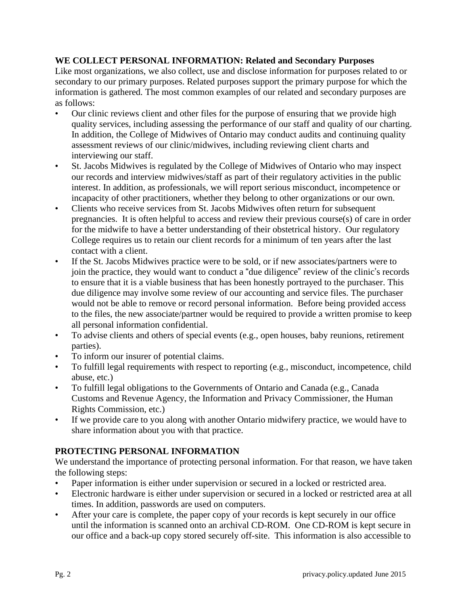### **WE COLLECT PERSONAL INFORMATION: Related and Secondary Purposes**

Like most organizations, we also collect, use and disclose information for purposes related to or secondary to our primary purposes. Related purposes support the primary purpose for which the information is gathered. The most common examples of our related and secondary purposes are as follows:

- Our clinic reviews client and other files for the purpose of ensuring that we provide high quality services, including assessing the performance of our staff and quality of our charting. In addition, the College of Midwives of Ontario may conduct audits and continuing quality assessment reviews of our clinic/midwives, including reviewing client charts and interviewing our staff.
- St. Jacobs Midwives is regulated by the College of Midwives of Ontario who may inspect our records and interview midwives/staff as part of their regulatory activities in the public interest. In addition, as professionals, we will report serious misconduct, incompetence or incapacity of other practitioners, whether they belong to other organizations or our own.
- Clients who receive services from St. Jacobs Midwives often return for subsequent pregnancies. It is often helpful to access and review their previous course(s) of care in order for the midwife to have a better understanding of their obstetrical history. Our regulatory College requires us to retain our client records for a minimum of ten years after the last contact with a client.
- If the St. Jacobs Midwives practice were to be sold, or if new associates/partners were to join the practice, they would want to conduct a "due diligence" review of the clinic's records to ensure that it is a viable business that has been honestly portrayed to the purchaser. This due diligence may involve some review of our accounting and service files. The purchaser would not be able to remove or record personal information. Before being provided access to the files, the new associate/partner would be required to provide a written promise to keep all personal information confidential.
- To advise clients and others of special events (e.g., open houses, baby reunions, retirement parties).
- To inform our insurer of potential claims.
- To fulfill legal requirements with respect to reporting (e.g., misconduct, incompetence, child abuse, etc.)
- To fulfill legal obligations to the Governments of Ontario and Canada (e.g., Canada Customs and Revenue Agency, the Information and Privacy Commissioner, the Human Rights Commission, etc.)
- If we provide care to you along with another Ontario midwifery practice, we would have to share information about you with that practice.

# **PROTECTING PERSONAL INFORMATION**

We understand the importance of protecting personal information. For that reason, we have taken the following steps:

- Paper information is either under supervision or secured in a locked or restricted area.
- Electronic hardware is either under supervision or secured in a locked or restricted area at all times. In addition, passwords are used on computers.
- After your care is complete, the paper copy of your records is kept securely in our office until the information is scanned onto an archival CD-ROM. One CD-ROM is kept secure in our office and a back-up copy stored securely off-site. This information is also accessible to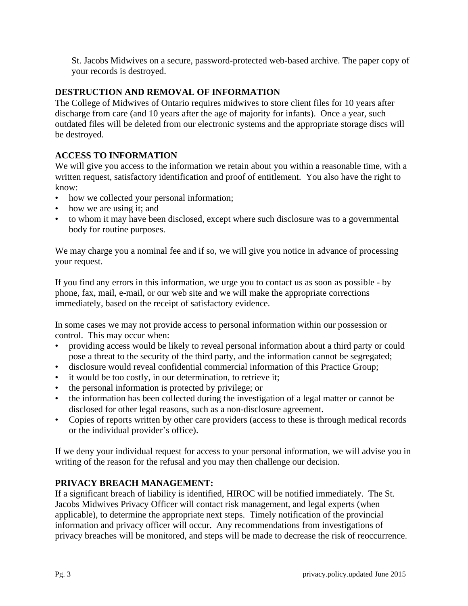St. Jacobs Midwives on a secure, password-protected web-based archive. The paper copy of your records is destroyed.

### **DESTRUCTION AND REMOVAL OF INFORMATION**

The College of Midwives of Ontario requires midwives to store client files for 10 years after discharge from care (and 10 years after the age of majority for infants). Once a year, such outdated files will be deleted from our electronic systems and the appropriate storage discs will be destroyed.

## **ACCESS TO INFORMATION**

We will give you access to the information we retain about you within a reasonable time, with a written request, satisfactory identification and proof of entitlement. You also have the right to know:

- how we collected your personal information;
- how we are using it; and
- to whom it may have been disclosed, except where such disclosure was to a governmental body for routine purposes.

We may charge you a nominal fee and if so, we will give you notice in advance of processing your request.

If you find any errors in this information, we urge you to contact us as soon as possible - by phone, fax, mail, e-mail, or our web site and we will make the appropriate corrections immediately, based on the receipt of satisfactory evidence.

In some cases we may not provide access to personal information within our possession or control. This may occur when:

- providing access would be likely to reveal personal information about a third party or could pose a threat to the security of the third party, and the information cannot be segregated;
- disclosure would reveal confidential commercial information of this Practice Group;
- it would be too costly, in our determination, to retrieve it;
- the personal information is protected by privilege; or
- the information has been collected during the investigation of a legal matter or cannot be disclosed for other legal reasons, such as a non-disclosure agreement.
- Copies of reports written by other care providers (access to these is through medical records or the individual provider's office).

If we deny your individual request for access to your personal information, we will advise you in writing of the reason for the refusal and you may then challenge our decision.

# **PRIVACY BREACH MANAGEMENT:**

If a significant breach of liability is identified, HIROC will be notified immediately. The St. Jacobs Midwives Privacy Officer will contact risk management, and legal experts (when applicable), to determine the appropriate next steps. Timely notification of the provincial information and privacy officer will occur. Any recommendations from investigations of privacy breaches will be monitored, and steps will be made to decrease the risk of reoccurrence.